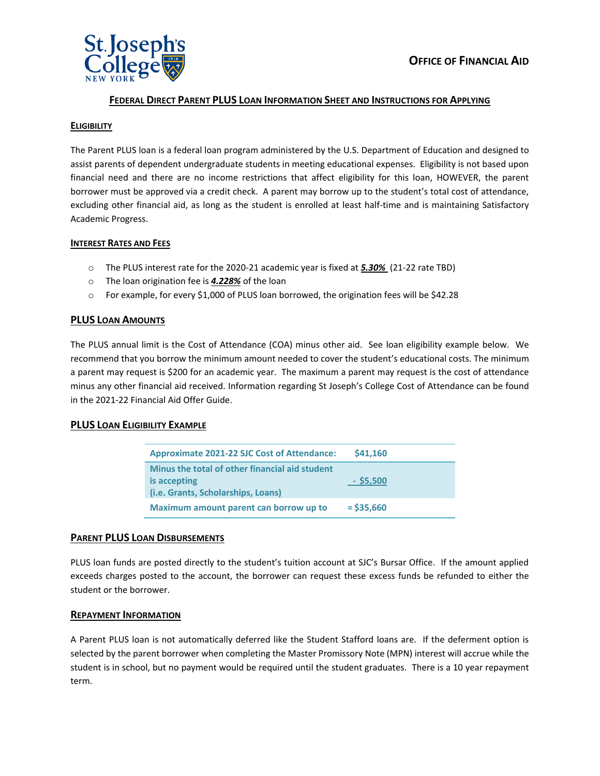

# **FEDERAL DIRECT PARENT PLUS LOAN INFORMATION SHEET AND INSTRUCTIONS FOR APPLYING**

### **ELIGIBILITY**

The Parent PLUS loan is a federal loan program administered by the U.S. Department of Education and designed to assist parents of dependent undergraduate students in meeting educational expenses. Eligibility is not based upon financial need and there are no income restrictions that affect eligibility for this loan, HOWEVER, the parent borrower must be approved via a credit check. A parent may borrow up to the student's total cost of attendance, excluding other financial aid, as long as the student is enrolled at least half-time and is maintaining Satisfactory Academic Progress.

#### **INTEREST RATES AND FEES**

- o The PLUS interest rate for the 2020-21 academic year is fixed at *5.30%* (21-22 rate TBD)
- o The loan origination fee is *4.228%* of the loan
- o For example, for every \$1,000 of PLUS loan borrowed, the origination fees will be \$42.28

### **PLUS LOAN AMOUNTS**

The PLUS annual limit is the Cost of Attendance (COA) minus other aid. See loan eligibility example below. We recommend that you borrow the minimum amount needed to cover the student's educational costs. The minimum a parent may request is \$200 for an academic year. The maximum a parent may request is the cost of attendance minus any other financial aid received. Information regarding St Joseph's College Cost of Attendance can be found in the 2021-22 Financial Aid Offer Guide.

### **PLUS LOAN ELIGIBILITY EXAMPLE**

| <b>Approximate 2021-22 SJC Cost of Attendance:</b>                                                           | \$41,160     |  |
|--------------------------------------------------------------------------------------------------------------|--------------|--|
| Minus the total of other financial aid student<br>is accepting<br>( <i>i.e.</i> Grants, Scholarships, Loans) | $-$ \$5,500  |  |
| Maximum amount parent can borrow up to                                                                       | $=$ \$35,660 |  |

### **PARENT PLUS LOAN DISBURSEMENTS**

PLUS loan funds are posted directly to the student's tuition account at SJC's Bursar Office. If the amount applied exceeds charges posted to the account, the borrower can request these excess funds be refunded to either the student or the borrower.

### **REPAYMENT INFORMATION**

A Parent PLUS loan is not automatically deferred like the Student Stafford loans are. If the deferment option is selected by the parent borrower when completing the Master Promissory Note (MPN) interest will accrue while the student is in school, but no payment would be required until the student graduates. There is a 10 year repayment term.